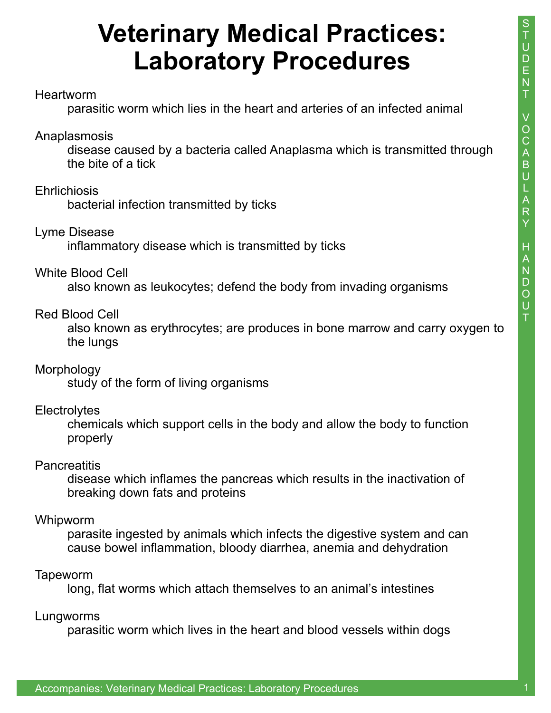# **Veterinary Medical Practices: Laboratory Procedures**

#### **Heartworm**

parasitic worm which lies in the heart and arteries of an infected animal

#### Anaplasmosis

 disease caused by a bacteria called Anaplasma which is transmitted through the bite of a tick

### **Ehrlichiosis**

bacterial infection transmitted by ticks

#### Lyme Disease

inflammatory disease which is transmitted by ticks

#### White Blood Cell

also known as leukocytes; defend the body from invading organisms

### Red Blood Cell

 also known as erythrocytes; are produces in bone marrow and carry oxygen to the lungs

#### **Morphology**

study of the form of living organisms

# **Electrolytes**

 chemicals which support cells in the body and allow the body to function properly

#### **Pancreatitis**

 disease which inflames the pancreas which results in the inactivation of breaking down fats and proteins

#### Whipworm

 parasite ingested by animals which infects the digestive system and can cause bowel inflammation, bloody diarrhea, anemia and dehydration

# Tapeworm

long, flat worms which attach themselves to an animal's intestines

#### Lungworms

parasitic worm which lives in the heart and blood vessels within dogs